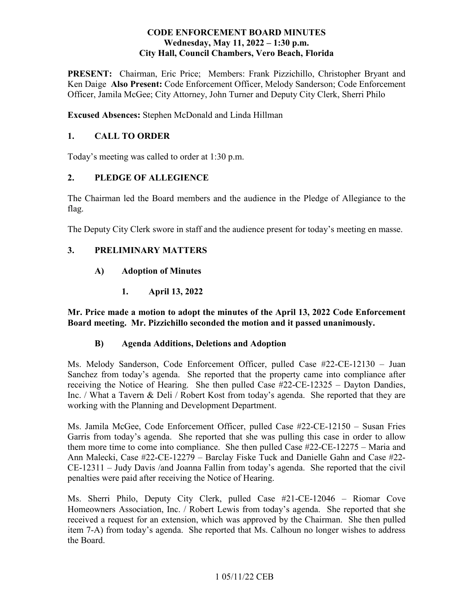## **CODE ENFORCEMENT BOARD MINUTES**  Wednesday, May 11, 2022 – 1:30 p.m. **City Hall, Council Chambers, Vero Beach, Florida**

PRESENT: Chairman, Eric Price; Members: Frank Pizzichillo, Christopher Bryant and Officer, Jamila McGee; City Attorney, John Turner and Deputy City Clerk, Sherri Philo Ken Daige **Also Present:** Code Enforcement Officer, Melody Sanderson; Code Enforcement

**Excused Absences:** Stephen McDonald and Linda Hillman

# **1. CALL TO ORDER**

Today's meeting was called to order at 1:30 p.m.

# **2. PLEDGE OF ALLEGIENCE**

The Chairman led the Board members and the audience in the Pledge of Allegiance to the flag.

The Deputy City Clerk swore in staff and the audience present for today's meeting en masse.

# **3. PRELIMINARY MATTERS**

- **A) Adoption of Minutes** 
	- **1. April 13, 2022**

**Mr. Price made a motion to adopt the minutes of the April 13, 2022 Code Enforcement Board meeting. Mr. Pizzichillo seconded the motion and it passed unanimously.** 

# **B) Agenda Additions, Deletions and Adoption**

 Inc. / What a Tavern & Deli / Robert Kost from today's agenda. She reported that they are Ms. Melody Sanderson, Code Enforcement Officer, pulled Case #22-CE-12130 – Juan Sanchez from today's agenda. She reported that the property came into compliance after receiving the Notice of Hearing. She then pulled Case #22-CE-12325 – Dayton Dandies, working with the Planning and Development Department.

 Ann Malecki, Case #22-CE-12279 – Barclay Fiske Tuck and Danielle Gahn and Case #22 penalties were paid after receiving the Notice of Hearing. Ms. Jamila McGee, Code Enforcement Officer, pulled Case #22-CE-12150 – Susan Fries Garris from today's agenda. She reported that she was pulling this case in order to allow them more time to come into compliance. She then pulled Case #22-CE-12275 – Maria and CE-12311 – Judy Davis /and Joanna Fallin from today's agenda. She reported that the civil

 received a request for an extension, which was approved by the Chairman. She then pulled Ms. Sherri Philo, Deputy City Clerk, pulled Case #21-CE-12046 – Riomar Cove Homeowners Association, Inc. / Robert Lewis from today's agenda. She reported that she item 7-A) from today's agenda. She reported that Ms. Calhoun no longer wishes to address the Board.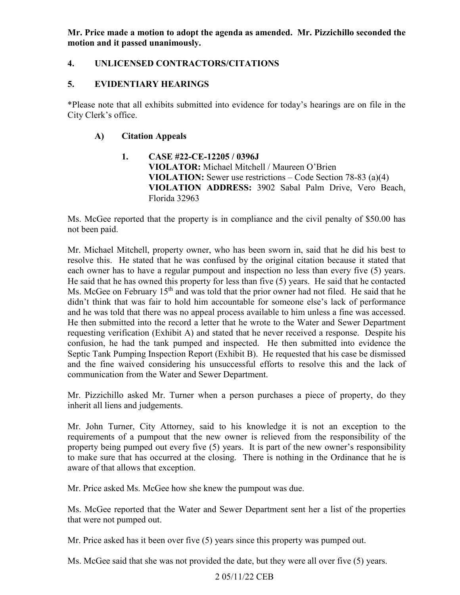**Mr. Price made a motion to adopt the agenda as amended. Mr. Pizzichillo seconded the motion and it passed unanimously.** 

# **4. UNLICENSED CONTRACTORS/CITATIONS**

## **5. EVIDENTIARY HEARINGS**

\*Please note that all exhibits submitted into evidence for today's hearings are on file in the City Clerk's office.

## **A) Citation Appeals**

**1. CASE #22-CE-12205 / 0396J VIOLATOR:** Michael Mitchell / Maureen O'Brien **VIOLATION:** Sewer use restrictions – Code Section 78-83 (a)(4) **VIOLATION ADDRESS:** 3902 Sabal Palm Drive, Vero Beach, Florida 32963

Ms. McGee reported that the property is in compliance and the civil penalty of \$50.00 has not been paid.

 each owner has to have a regular pumpout and inspection no less than every five (5) years. and he was told that there was no appeal process available to him unless a fine was accessed. requesting verification (Exhibit A) and stated that he never received a response. Despite his confusion, he had the tank pumped and inspected. He then submitted into evidence the Septic Tank Pumping Inspection Report (Exhibit B). He requested that his case be dismissed Mr. Michael Mitchell, property owner, who has been sworn in, said that he did his best to resolve this. He stated that he was confused by the original citation because it stated that He said that he has owned this property for less than five (5) years. He said that he contacted Ms. McGee on February 15<sup>th</sup> and was told that the prior owner had not filed. He said that he didn't think that was fair to hold him accountable for someone else's lack of performance He then submitted into the record a letter that he wrote to the Water and Sewer Department and the fine waived considering his unsuccessful efforts to resolve this and the lack of communication from the Water and Sewer Department.

Mr. Pizzichillo asked Mr. Turner when a person purchases a piece of property, do they inherit all liens and judgements.

 requirements of a pumpout that the new owner is relieved from the responsibility of the property being pumped out every five (5) years. It is part of the new owner's responsibility aware of that allows that exception. Mr. John Turner, City Attorney, said to his knowledge it is not an exception to the to make sure that has occurred at the closing. There is nothing in the Ordinance that he is

Mr. Price asked Ms. McGee how she knew the pumpout was due.

Ms. McGee reported that the Water and Sewer Department sent her a list of the properties that were not pumped out.

Mr. Price asked has it been over five (5) years since this property was pumped out.

Ms. McGee said that she was not provided the date, but they were all over five (5) years.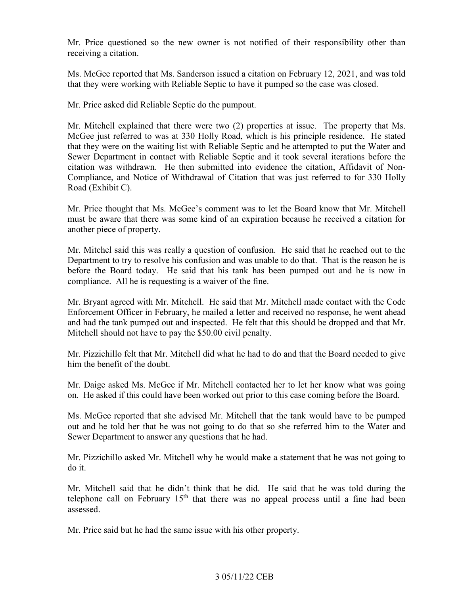Mr. Price questioned so the new owner is not notified of their responsibility other than receiving a citation.

Ms. McGee reported that Ms. Sanderson issued a citation on February 12, 2021, and was told that they were working with Reliable Septic to have it pumped so the case was closed.

Mr. Price asked did Reliable Septic do the pumpout.

 that they were on the waiting list with Reliable Septic and he attempted to put the Water and citation was withdrawn. He then submitted into evidence the citation, Affidavit of Non-Mr. Mitchell explained that there were two (2) properties at issue. The property that Ms. McGee just referred to was at 330 Holly Road, which is his principle residence. He stated Sewer Department in contact with Reliable Septic and it took several iterations before the Compliance, and Notice of Withdrawal of Citation that was just referred to for 330 Holly Road (Exhibit C).

Mr. Price thought that Ms. McGee's comment was to let the Board know that Mr. Mitchell must be aware that there was some kind of an expiration because he received a citation for another piece of property.

Mr. Mitchel said this was really a question of confusion. He said that he reached out to the Department to try to resolve his confusion and was unable to do that. That is the reason he is before the Board today. He said that his tank has been pumped out and he is now in compliance. All he is requesting is a waiver of the fine.

Mr. Bryant agreed with Mr. Mitchell. He said that Mr. Mitchell made contact with the Code Enforcement Officer in February, he mailed a letter and received no response, he went ahead and had the tank pumped out and inspected. He felt that this should be dropped and that Mr. Mitchell should not have to pay the \$50.00 civil penalty.

 Mr. Pizzichillo felt that Mr. Mitchell did what he had to do and that the Board needed to give him the benefit of the doubt.

 Mr. Daige asked Ms. McGee if Mr. Mitchell contacted her to let her know what was going on. He asked if this could have been worked out prior to this case coming before the Board.

Ms. McGee reported that she advised Mr. Mitchell that the tank would have to be pumped out and he told her that he was not going to do that so she referred him to the Water and Sewer Department to answer any questions that he had.

 Mr. Pizzichillo asked Mr. Mitchell why he would make a statement that he was not going to do it.

assessed. Mr. Mitchell said that he didn't think that he did. He said that he was told during the telephone call on February  $15<sup>th</sup>$  that there was no appeal process until a fine had been

Mr. Price said but he had the same issue with his other property.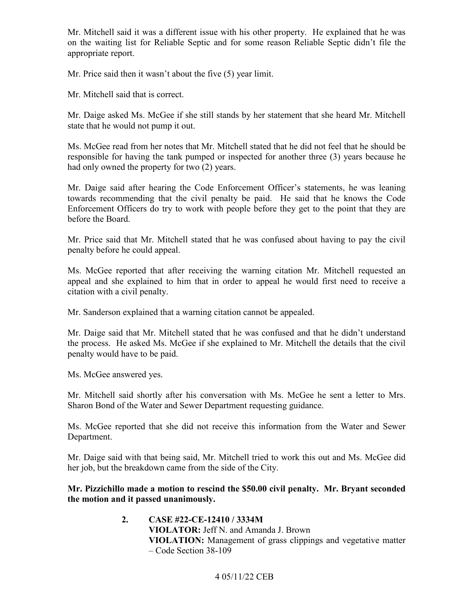Mr. Mitchell said it was a different issue with his other property. He explained that he was on the waiting list for Reliable Septic and for some reason Reliable Septic didn't file the appropriate report.

Mr. Price said then it wasn't about the five (5) year limit.

Mr. Mitchell said that is correct.

Mr. Daige asked Ms. McGee if she still stands by her statement that she heard Mr. Mitchell state that he would not pump it out.

 responsible for having the tank pumped or inspected for another three (3) years because he had only owned the property for two (2) years. Ms. McGee read from her notes that Mr. Mitchell stated that he did not feel that he should be

 Enforcement Officers do try to work with people before they get to the point that they are Mr. Daige said after hearing the Code Enforcement Officer's statements, he was leaning towards recommending that the civil penalty be paid. He said that he knows the Code before the Board.

Mr. Price said that Mr. Mitchell stated that he was confused about having to pay the civil penalty before he could appeal.

 Ms. McGee reported that after receiving the warning citation Mr. Mitchell requested an appeal and she explained to him that in order to appeal he would first need to receive a citation with a civil penalty.

Mr. Sanderson explained that a warning citation cannot be appealed.

Mr. Daige said that Mr. Mitchell stated that he was confused and that he didn't understand the process. He asked Ms. McGee if she explained to Mr. Mitchell the details that the civil penalty would have to be paid.

Ms. McGee answered yes.

 Sharon Bond of the Water and Sewer Department requesting guidance. Mr. Mitchell said shortly after his conversation with Ms. McGee he sent a letter to Mrs.

Ms. McGee reported that she did not receive this information from the Water and Sewer Department.

Mr. Daige said with that being said, Mr. Mitchell tried to work this out and Ms. McGee did her job, but the breakdown came from the side of the City.

# **Mr. Pizzichillo made a motion to rescind the \$50.00 civil penalty. Mr. Bryant seconded the motion and it passed unanimously.**

**2. CASE #22-CE-12410 / 3334M VIOLATOR:** Jeff N. and Amanda J. Brown **VIOLATION:** Management of grass clippings and vegetative matter – Code Section 38-109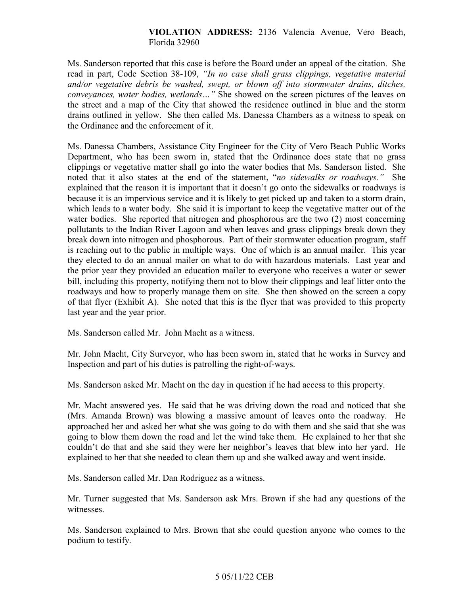### **VIOLATION ADDRESS:** 2136 Valencia Avenue, Vero Beach, Florida 32960

 Ms. Sanderson reported that this case is before the Board under an appeal of the citation. She read in part, Code Section 38-109, *"In no case shall grass clippings, vegetative material and/or vegetative debris be washed, swept, or blown off into stormwater drains, ditches, conveyances, water bodies, wetlands…"* She showed on the screen pictures of the leaves on the street and a map of the City that showed the residence outlined in blue and the storm drains outlined in yellow. She then called Ms. Danessa Chambers as a witness to speak on the Ordinance and the enforcement of it.

 Ms. Danessa Chambers, Assistance City Engineer for the City of Vero Beach Public Works noted that it also states at the end of the statement, "*no sidewalks or roadways."* She they elected to do an annual mailer on what to do with hazardous materials. Last year and the prior year they provided an education mailer to everyone who receives a water or sewer Department, who has been sworn in, stated that the Ordinance does state that no grass clippings or vegetative matter shall go into the water bodies that Ms. Sanderson listed. She explained that the reason it is important that it doesn't go onto the sidewalks or roadways is because it is an impervious service and it is likely to get picked up and taken to a storm drain, which leads to a water body. She said it is important to keep the vegetative matter out of the water bodies. She reported that nitrogen and phosphorous are the two (2) most concerning pollutants to the Indian River Lagoon and when leaves and grass clippings break down they break down into nitrogen and phosphorous. Part of their stormwater education program, staff is reaching out to the public in multiple ways. One of which is an annual mailer. This year bill, including this property, notifying them not to blow their clippings and leaf litter onto the roadways and how to properly manage them on site. She then showed on the screen a copy of that flyer (Exhibit A). She noted that this is the flyer that was provided to this property last year and the year prior.

Ms. Sanderson called Mr. John Macht as a witness.

Mr. John Macht, City Surveyor, who has been sworn in, stated that he works in Survey and Inspection and part of his duties is patrolling the right-of-ways.

Ms. Sanderson asked Mr. Macht on the day in question if he had access to this property.

 (Mrs. Amanda Brown) was blowing a massive amount of leaves onto the roadway. He couldn't do that and she said they were her neighbor's leaves that blew into her yard. He Mr. Macht answered yes. He said that he was driving down the road and noticed that she approached her and asked her what she was going to do with them and she said that she was going to blow them down the road and let the wind take them. He explained to her that she explained to her that she needed to clean them up and she walked away and went inside.

Ms. Sanderson called Mr. Dan Rodriguez as a witness.

Mr. Turner suggested that Ms. Sanderson ask Mrs. Brown if she had any questions of the witnesses.

Ms. Sanderson explained to Mrs. Brown that she could question anyone who comes to the podium to testify.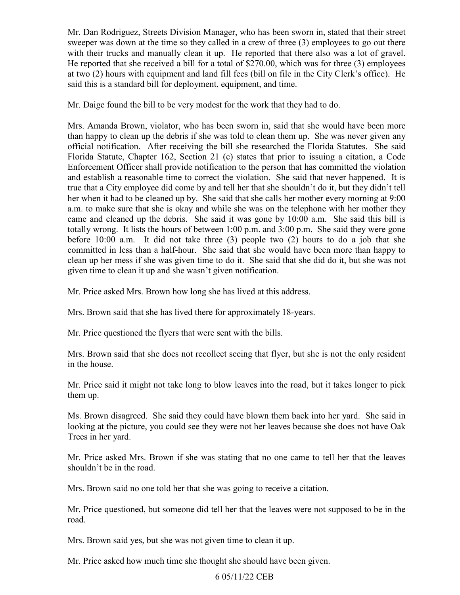with their trucks and manually clean it up. He reported that there also was a lot of gravel. at two (2) hours with equipment and land fill fees (bill on file in the City Clerk's office). He Mr. Dan Rodriguez, Streets Division Manager, who has been sworn in, stated that their street sweeper was down at the time so they called in a crew of three (3) employees to go out there He reported that she received a bill for a total of \$270.00, which was for three (3) employees said this is a standard bill for deployment, equipment, and time.

Mr. Daige found the bill to be very modest for the work that they had to do.

 than happy to clean up the debris if she was told to clean them up. She was never given any totally wrong. It lists the hours of between 1:00 p.m. and 3:00 p.m. She said they were gone Mrs. Amanda Brown, violator, who has been sworn in, said that she would have been more official notification. After receiving the bill she researched the Florida Statutes. She said Florida Statute, Chapter 162, Section 21 (c) states that prior to issuing a citation, a Code Enforcement Officer shall provide notification to the person that has committed the violation and establish a reasonable time to correct the violation. She said that never happened. It is true that a City employee did come by and tell her that she shouldn't do it, but they didn't tell her when it had to be cleaned up by. She said that she calls her mother every morning at 9:00 a.m. to make sure that she is okay and while she was on the telephone with her mother they came and cleaned up the debris. She said it was gone by 10:00 a.m. She said this bill is before 10:00 a.m. It did not take three (3) people two (2) hours to do a job that she committed in less than a half-hour. She said that she would have been more than happy to clean up her mess if she was given time to do it. She said that she did do it, but she was not given time to clean it up and she wasn't given notification.

Mr. Price asked Mrs. Brown how long she has lived at this address.

Mrs. Brown said that she has lived there for approximately 18-years.

Mr. Price questioned the flyers that were sent with the bills.

Mrs. Brown said that she does not recollect seeing that flyer, but she is not the only resident in the house.

Mr. Price said it might not take long to blow leaves into the road, but it takes longer to pick them up.

 Ms. Brown disagreed. She said they could have blown them back into her yard. She said in Trees in her yard. looking at the picture, you could see they were not her leaves because she does not have Oak

Mr. Price asked Mrs. Brown if she was stating that no one came to tell her that the leaves shouldn't be in the road.

Mrs. Brown said no one told her that she was going to receive a citation.

Mr. Price questioned, but someone did tell her that the leaves were not supposed to be in the road.

Mrs. Brown said yes, but she was not given time to clean it up.

Mr. Price asked how much time she thought she should have been given.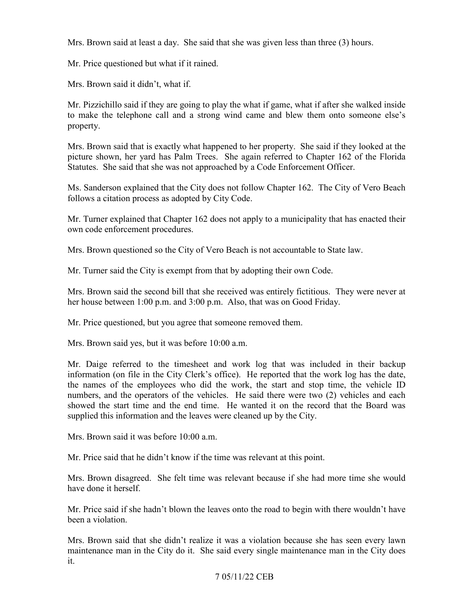Mrs. Brown said at least a day. She said that she was given less than three (3) hours.

Mr. Price questioned but what if it rained.

Mrs. Brown said it didn't, what if.

Mr. Pizzichillo said if they are going to play the what if game, what if after she walked inside to make the telephone call and a strong wind came and blew them onto someone else's property.

Mrs. Brown said that is exactly what happened to her property. She said if they looked at the picture shown, her yard has Palm Trees. She again referred to Chapter 162 of the Florida Statutes. She said that she was not approached by a Code Enforcement Officer.

 Ms. Sanderson explained that the City does not follow Chapter 162. The City of Vero Beach follows a citation process as adopted by City Code.

Mr. Turner explained that Chapter 162 does not apply to a municipality that has enacted their own code enforcement procedures.

Mrs. Brown questioned so the City of Vero Beach is not accountable to State law.

Mr. Turner said the City is exempt from that by adopting their own Code.

 Mrs. Brown said the second bill that she received was entirely fictitious. They were never at her house between 1:00 p.m. and 3:00 p.m. Also, that was on Good Friday.

Mr. Price questioned, but you agree that someone removed them.

Mrs. Brown said yes, but it was before 10:00 a.m.

 the names of the employees who did the work, the start and stop time, the vehicle ID numbers, and the operators of the vehicles. He said there were two (2) vehicles and each Mr. Daige referred to the timesheet and work log that was included in their backup information (on file in the City Clerk's office). He reported that the work log has the date, showed the start time and the end time. He wanted it on the record that the Board was supplied this information and the leaves were cleaned up by the City.

Mrs. Brown said it was before 10:00 a.m.

Mr. Price said that he didn't know if the time was relevant at this point.

 have done it herself. Mrs. Brown disagreed. She felt time was relevant because if she had more time she would

Mr. Price said if she hadn't blown the leaves onto the road to begin with there wouldn't have been a violation.

Mrs. Brown said that she didn't realize it was a violation because she has seen every lawn maintenance man in the City do it. She said every single maintenance man in the City does it.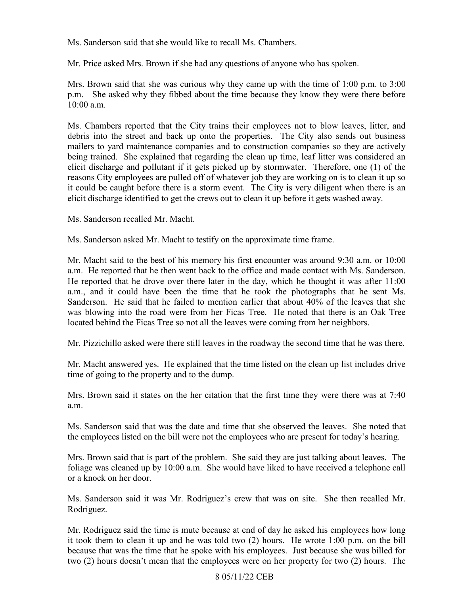Ms. Sanderson said that she would like to recall Ms. Chambers.

Mr. Price asked Mrs. Brown if she had any questions of anyone who has spoken.

Mrs. Brown said that she was curious why they came up with the time of 1:00 p.m. to 3:00 p.m. She asked why they fibbed about the time because they know they were there before  $10:00$  a.m.

 elicit discharge and pollutant if it gets picked up by stormwater. Therefore, one (1) of the reasons City employees are pulled off of whatever job they are working on is to clean it up so elicit discharge identified to get the crews out to clean it up before it gets washed away. Ms. Sanderson recalled Mr. Macht. Ms. Chambers reported that the City trains their employees not to blow leaves, litter, and debris into the street and back up onto the properties. The City also sends out business mailers to yard maintenance companies and to construction companies so they are actively being trained. She explained that regarding the clean up time, leaf litter was considered an it could be caught before there is a storm event. The City is very diligent when there is an

Ms. Sanderson asked Mr. Macht to testify on the approximate time frame.

a.m. He reported that he then went back to the office and made contact with Ms. Sanderson. located behind the Ficas Tree so not all the leaves were coming from her neighbors. Mr. Macht said to the best of his memory his first encounter was around 9:30 a.m. or 10:00 He reported that he drove over there later in the day, which he thought it was after  $11:00$ a.m., and it could have been the time that he took the photographs that he sent Ms. Sanderson. He said that he failed to mention earlier that about 40% of the leaves that she was blowing into the road were from her Ficas Tree. He noted that there is an Oak Tree

Mr. Pizzichillo asked were there still leaves in the roadway the second time that he was there.

 Mr. Macht answered yes. He explained that the time listed on the clean up list includes drive time of going to the property and to the dump.

Mrs. Brown said it states on the her citation that the first time they were there was at 7:40 a.m.

Ms. Sanderson said that was the date and time that she observed the leaves. She noted that the employees listed on the bill were not the employees who are present for today's hearing.

 foliage was cleaned up by 10:00 a.m. She would have liked to have received a telephone call Mrs. Brown said that is part of the problem. She said they are just talking about leaves. The or a knock on her door.

Ms. Sanderson said it was Mr. Rodriguez's crew that was on site. She then recalled Mr. Rodriguez.

 Mr. Rodriguez said the time is mute because at end of day he asked his employees how long it took them to clean it up and he was told two (2) hours. He wrote 1:00 p.m. on the bill because that was the time that he spoke with his employees. Just because she was billed for two (2) hours doesn't mean that the employees were on her property for two (2) hours. The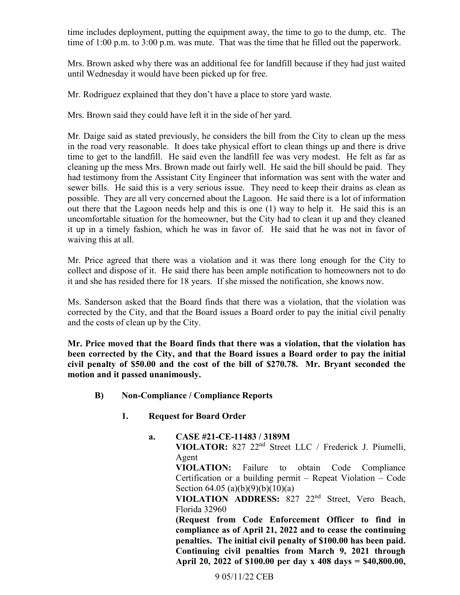time includes deployment, putting the equipment away, the time to go to the dump, etc. The time of 1:00 p.m. to 3:00 p.m. was mute. That was the time that he filled out the paperwork.

Mrs. Brown asked why there was an additional fee for landfill because if they had just waited until Wednesday it would have been picked up for free.

Mr. Rodriguez explained that they don't have a place to store yard waste.

Mrs. Brown said they could have left it in the side of her yard.

 possible. They are all very concerned about the Lagoon. He said there is a lot of information out there that the Lagoon needs help and this is one (1) way to help it. He said this is an uncomfortable situation for the homeowner, but the City had to clean it up and they cleaned it up in a timely fashion, which he was in favor of. He said that he was not in favor of Mr. Daige said as stated previously, he considers the bill from the City to clean up the mess in the road very reasonable. It does take physical effort to clean things up and there is drive time to get to the landfill. He said even the landfill fee was very modest. He felt as far as cleaning up the mess Mrs. Brown made out fairly well. He said the bill should be paid. They had testimony from the Assistant City Engineer that information was sent with the water and sewer bills. He said this is a very serious issue. They need to keep their drains as clean as waiving this at all.

 collect and dispose of it. He said there has been ample notification to homeowners not to do Mr. Price agreed that there was a violation and it was there long enough for the City to it and she has resided there for 18 years. If she missed the notification, she knows now.

Ms. Sanderson asked that the Board finds that there was a violation, that the violation was corrected by the City, and that the Board issues a Board order to pay the initial civil penalty and the costs of clean up by the City.

**Mr. Price moved that the Board finds that there was a violation, that the violation has been corrected by the City, and that the Board issues a Board order to pay the initial civil penalty of \$50.00 and the cost of the bill of \$270.78. Mr. Bryant seconded the motion and it passed unanimously.** 

- **B) Non-Compliance / Compliance Reports** 
	- **Request for Board Order**
	- **1. Request for Board Order a. CASE #21-CE-11483 / 3189M**

**VIOLATOR:** 827 22nd Street LLC / Frederick J. Piumelli, Agent

 Certification or a building permit – Repeat Violation – Code **VIOLATION:** Failure to obtain Code Compliance Section 64.05 (a)(b)(9)(b)(10)(a)

 **VIOLATION ADDRESS:** 827 22nd Street, Vero Beach, Florida 32960

penalties. The initial civil penalty of \$100.00 has been paid. **(Request from Code Enforcement Officer to find in compliance as of April 21, 2022 and to cease the continuing Continuing civil penalties from March 9, 2021 through April 20, 2022 of \$100.00 per day x 408 days = \$[40,800.00](https://40,800.00),**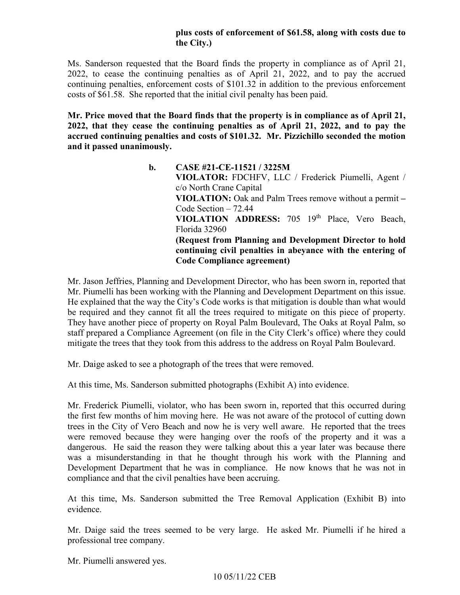### **plus costs of enforcement of \$61.58, along with costs due to the City.)**

 Ms. Sanderson requested that the Board finds the property in compliance as of April 21, 2022, to cease the continuing penalties as of April 21, 2022, and to pay the accrued continuing penalties, enforcement costs of \$101.32 in addition to the previous enforcement costs of \$61.58. She reported that the initial civil penalty has been paid.

 **Mr. Price moved that the Board finds that the property is in compliance as of April 21, accrued continuing penalties and costs of \$101.32. Mr. Pizzichillo seconded the motion 2022, that they cease the continuing penalties as of April 21, 2022, and to pay the and it passed unanimously.** 

> **VIOLATION:** Oak and Palm Trees remove without a permit **–**  Code Section – 72.44 **b. CASE #21-CE-11521 / 3225M VIOLATOR:** FDCHFV, LLC / Frederick Piumelli, Agent / c/o North Crane Capital VIOLATION ADDRESS: 705 19<sup>th</sup> Place, Vero Beach, Florida 32960 **(Request from Planning and Development Director to hold continuing civil penalties in abeyance with the entering of Code Compliance agreement)**

Mr. Piumelli has been working with the Planning and Development Department on this issue. be required and they cannot fit all the trees required to mitigate on this piece of property. staff prepared a Compliance Agreement (on file in the City Clerk's office) where they could Mr. Jason Jeffries, Planning and Development Director, who has been sworn in, reported that He explained that the way the City's Code works is that mitigation is double than what would They have another piece of property on Royal Palm Boulevard, The Oaks at Royal Palm, so mitigate the trees that they took from this address to the address on Royal Palm Boulevard.

Mr. Daige asked to see a photograph of the trees that were removed.

At this time, Ms. Sanderson submitted photographs (Exhibit A) into evidence.

 trees in the City of Vero Beach and now he is very well aware. He reported that the trees dangerous. He said the reason they were talking about this a year later was because there Development Department that he was in compliance. He now knows that he was not in compliance and that the civil penalties have been accruing. Mr. Frederick Piumelli, violator, who has been sworn in, reported that this occurred during the first few months of him moving here. He was not aware of the protocol of cutting down were removed because they were hanging over the roofs of the property and it was a was a misunderstanding in that he thought through his work with the Planning and

At this time, Ms. Sanderson submitted the Tree Removal Application (Exhibit B) into evidence.

 Mr. Daige said the trees seemed to be very large. He asked Mr. Piumelli if he hired a professional tree company.

Mr. Piumelli answered yes.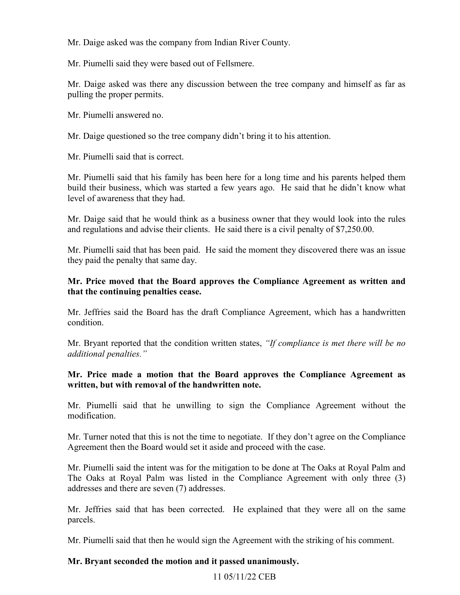Mr. Daige asked was the company from Indian River County.

Mr. Piumelli said they were based out of Fellsmere.

Mr. Daige asked was there any discussion between the tree company and himself as far as pulling the proper permits.

Mr. Piumelli answered no.

Mr. Daige questioned so the tree company didn't bring it to his attention.

Mr. Piumelli said that is correct.

level of awareness that they had. Mr. Piumelli said that his family has been here for a long time and his parents helped them build their business, which was started a few years ago. He said that he didn't know what

 and regulations and advise their clients. He said there is a civil penalty of [\\$7,250.00](https://7,250.00). Mr. Daige said that he would think as a business owner that they would look into the rules

Mr. Piumelli said that has been paid. He said the moment they discovered there was an issue they paid the penalty that same day.

## **that the continuing penalties cease. Mr. Price moved that the Board approves the Compliance Agreement as written and**

Mr. Jeffries said the Board has the draft Compliance Agreement, which has a handwritten condition.

 *additional penalties."* Mr. Bryant reported that the condition written states, *"If compliance is met there will be no* 

### **Mr. Price made a motion that the Board approves the Compliance Agreement as written, but with removal of the handwritten note.**

Mr. Piumelli said that he unwilling to sign the Compliance Agreement without the modification.

Mr. Turner noted that this is not the time to negotiate. If they don't agree on the Compliance Agreement then the Board would set it aside and proceed with the case.

 Mr. Piumelli said the intent was for the mitigation to be done at The Oaks at Royal Palm and addresses and there are seven (7) addresses. The Oaks at Royal Palm was listed in the Compliance Agreement with only three (3)

Mr. Jeffries said that has been corrected. He explained that they were all on the same parcels.

Mr. Piumelli said that then he would sign the Agreement with the striking of his comment.

#### **Mr. Bryant seconded the motion and it passed unanimously.**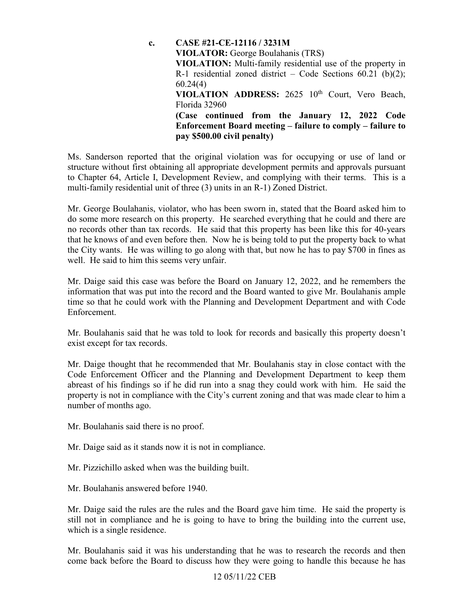**VIOLATION ADDRESS:** 2625 10th Court, Vero Beach,  **Enforcement Board meeting – failure to comply – failure to c. CASE #21-CE-12116 / 3231M VIOLATOR:** George Boulahanis (TRS) **VIOLATION:** Multi-family residential use of the property in R-1 residential zoned district – Code Sections  $60.21$  (b)(2); 60.24(4) Florida 32960 **(Case continued from the January 12, 2022 Code pay \$500.00 civil penalty)** 

Ms. Sanderson reported that the original violation was for occupying or use of land or structure without first obtaining all appropriate development permits and approvals pursuant to Chapter 64, Article I, Development Review, and complying with their terms. This is a multi-family residential unit of three (3) units in an R-1) Zoned District.

 do some more research on this property. He searched everything that he could and there are Mr. George Boulahanis, violator, who has been sworn in, stated that the Board asked him to no records other than tax records. He said that this property has been like this for 40-years that he knows of and even before then. Now he is being told to put the property back to what the City wants. He was willing to go along with that, but now he has to pay \$700 in fines as well. He said to him this seems very unfair.

Mr. Daige said this case was before the Board on January 12, 2022, and he remembers the information that was put into the record and the Board wanted to give Mr. Boulahanis ample time so that he could work with the Planning and Development Department and with Code Enforcement.

Mr. Boulahanis said that he was told to look for records and basically this property doesn't exist except for tax records.

Mr. Daige thought that he recommended that Mr. Boulahanis stay in close contact with the Code Enforcement Officer and the Planning and Development Department to keep them abreast of his findings so if he did run into a snag they could work with him. He said the property is not in compliance with the City's current zoning and that was made clear to him a number of months ago.

Mr. Boulahanis said there is no proof.

Mr. Daige said as it stands now it is not in compliance.

Mr. Pizzichillo asked when was the building built.

Mr. Boulahanis answered before 1940.

 still not in compliance and he is going to have to bring the building into the current use, which is a single residence. Mr. Daige said the rules are the rules and the Board gave him time. He said the property is

 come back before the Board to discuss how they were going to handle this because he has Mr. Boulahanis said it was his understanding that he was to research the records and then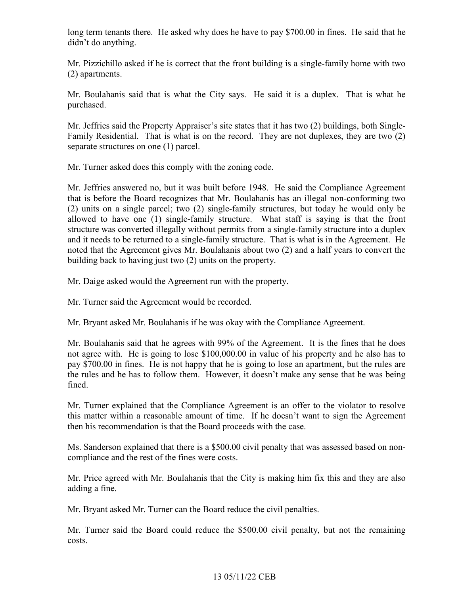long term tenants there. He asked why does he have to pay \$700.00 in fines. He said that he didn't do anything.

 Mr. Pizzichillo asked if he is correct that the front building is a single-family home with two (2) apartments.

Mr. Boulahanis said that is what the City says. He said it is a duplex. That is what he purchased.

 Family Residential. That is what is on the record. They are not duplexes, they are two (2) Mr. Jeffries said the Property Appraiser's site states that it has two (2) buildings, both Singleseparate structures on one (1) parcel.

Mr. Turner asked does this comply with the zoning code.

 allowed to have one (1) single-family structure. What staff is saying is that the front Mr. Jeffries answered no, but it was built before 1948. He said the Compliance Agreement that is before the Board recognizes that Mr. Boulahanis has an illegal non-conforming two (2) units on a single parcel; two (2) single-family structures, but today he would only be structure was converted illegally without permits from a single-family structure into a duplex and it needs to be returned to a single-family structure. That is what is in the Agreement. He noted that the Agreement gives Mr. Boulahanis about two (2) and a half years to convert the building back to having just two (2) units on the property.

Mr. Daige asked would the Agreement run with the property.

Mr. Turner said the Agreement would be recorded.

Mr. Bryant asked Mr. Boulahanis if he was okay with the Compliance Agreement.

 Mr. Boulahanis said that he agrees with 99% of the Agreement. It is the fines that he does not agree with. He is going to lose [\\$100,000.00](https://100,000.00) in value of his property and he also has to pay \$700.00 in fines. He is not happy that he is going to lose an apartment, but the rules are the rules and he has to follow them. However, it doesn't make any sense that he was being fined.

Mr. Turner explained that the Compliance Agreement is an offer to the violator to resolve this matter within a reasonable amount of time. If he doesn't want to sign the Agreement then his recommendation is that the Board proceeds with the case.

Ms. Sanderson explained that there is a \$500.00 civil penalty that was assessed based on noncompliance and the rest of the fines were costs.

 Mr. Price agreed with Mr. Boulahanis that the City is making him fix this and they are also adding a fine.

Mr. Bryant asked Mr. Turner can the Board reduce the civil penalties.

Mr. Turner said the Board could reduce the \$500.00 civil penalty, but not the remaining costs.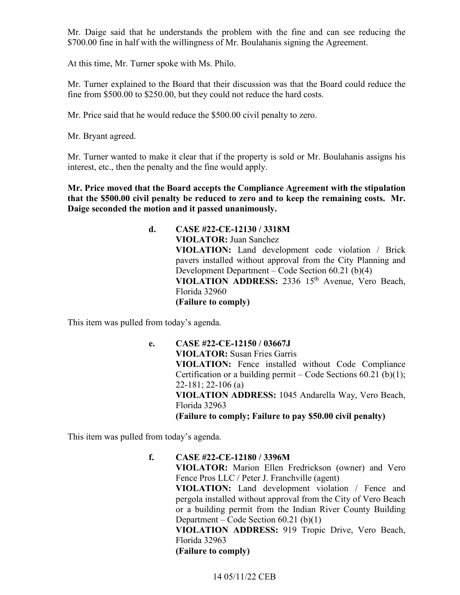\$700.00 fine in half with the willingness of Mr. Boulahanis signing the Agreement. Mr. Daige said that he understands the problem with the fine and can see reducing the

At this time, Mr. Turner spoke with Ms. Philo.

Mr. Turner explained to the Board that their discussion was that the Board could reduce the fine from \$500.00 to \$250.00, but they could not reduce the hard costs.

Mr. Price said that he would reduce the \$500.00 civil penalty to zero.

Mr. Bryant agreed.

Mr. Turner wanted to make it clear that if the property is sold or Mr. Boulahanis assigns his interest, etc., then the penalty and the fine would apply.

 **Mr. Price moved that the Board accepts the Compliance Agreement with the stipulation that the \$500.00 civil penalty be reduced to zero and to keep the remaining costs. Mr. Daige seconded the motion and it passed unanimously.** 

> Development Department – Code Section 60.21 (b)(4) **d. CASE #22-CE-12130 / 3318M VIOLATOR:** Juan Sanchez **VIOLATION:** Land development code violation / Brick pavers installed without approval from the City Planning and **VIOLATION ADDRESS:** 2336 15th Avenue, Vero Beach, Florida 32960 **(Failure to comply)**

This item was pulled from today's agenda.

 **(Failure to comply; Failure to pay \$50.00 civil penalty) e. CASE #22-CE-12150 / 03667J VIOLATOR:** Susan Fries Garris **VIOLATION:** Fence installed without Code Compliance Certification or a building permit – Code Sections  $60.21$  (b)(1); 22-181; 22-106 (a) **VIOLATION ADDRESS:** 1045 Andarella Way, Vero Beach, Florida 32963

This item was pulled from today's agenda.

**f. CASE #22-CE-12180 / 3396M VIOLATOR:** Marion Ellen Fredrickson (owner) and Vero Fence Pros LLC / Peter J. Franchville (agent) **VIOLATION:** Land development violation / Fence and pergola installed without approval from the City of Vero Beach or a building permit from the Indian River County Building Department – Code Section 60.21 (b)(1) **VIOLATION ADDRESS:** 919 Tropic Drive, Vero Beach, Florida 32963 **(Failure to comply)**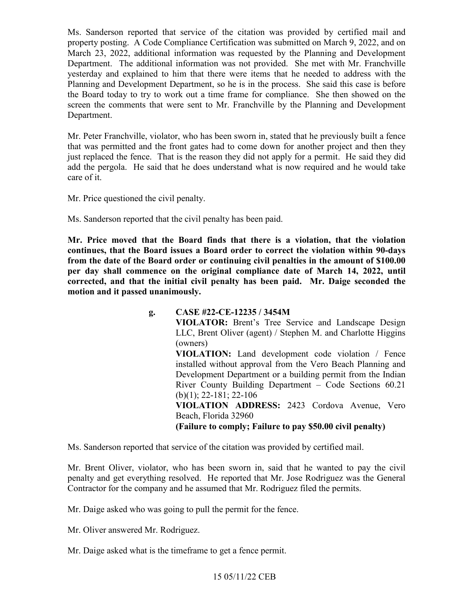Department. Ms. Sanderson reported that service of the citation was provided by certified mail and property posting. A Code Compliance Certification was submitted on March 9, 2022, and on March 23, 2022, additional information was requested by the Planning and Development Department. The additional information was not provided. She met with Mr. Franchville yesterday and explained to him that there were items that he needed to address with the Planning and Development Department, so he is in the process. She said this case is before the Board today to try to work out a time frame for compliance. She then showed on the screen the comments that were sent to Mr. Franchville by the Planning and Development

Mr. Peter Franchville, violator, who has been sworn in, stated that he previously built a fence that was permitted and the front gates had to come down for another project and then they just replaced the fence. That is the reason they did not apply for a permit. He said they did add the pergola. He said that he does understand what is now required and he would take care of it.

Mr. Price questioned the civil penalty.

Ms. Sanderson reported that the civil penalty has been paid.

**Mr. Price moved that the Board finds that there is a violation, that the violation continues, that the Board issues a Board order to correct the violation within 90-days from the date of the Board order or continuing civil penalties in the amount of \$100.00 per day shall commence on the original compliance date of March 14, 2022, until corrected, and that the initial civil penalty has been paid. Mr. Daige seconded the motion and it passed unanimously.** 

**g. CASE #22-CE-12235 / 3454M** 

**VIOLATOR:** Brent's Tree Service and Landscape Design LLC, Brent Oliver (agent) / Stephen M. and Charlotte Higgins (owners)

**VIOLATION:** Land development code violation / Fence installed without approval from the Vero Beach Planning and Development Department or a building permit from the Indian River County Building Department – Code Sections 60.21 (b)(1); 22-181; 22-106

**VIOLATION ADDRESS:** 2423 Cordova Avenue, Vero Beach, Florida 32960

 **(Failure to comply; Failure to pay \$50.00 civil penalty)** 

Ms. Sanderson reported that service of the citation was provided by certified mail.

 penalty and get everything resolved. He reported that Mr. Jose Rodriguez was the General Mr. Brent Oliver, violator, who has been sworn in, said that he wanted to pay the civil Contractor for the company and he assumed that Mr. Rodriguez filed the permits.

Mr. Daige asked who was going to pull the permit for the fence.

Mr. Oliver answered Mr. Rodriguez.

Mr. Daige asked what is the timeframe to get a fence permit.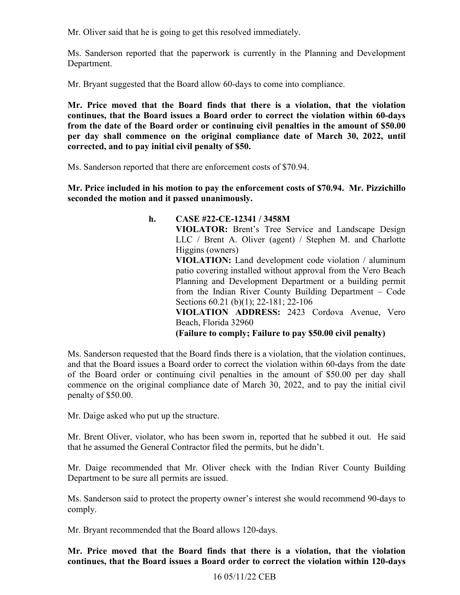Mr. Oliver said that he is going to get this resolved immediately.

Department. Ms. Sanderson reported that the paperwork is currently in the Planning and Development

Mr. Bryant suggested that the Board allow 60-days to come into compliance.

**Mr. Price moved that the Board finds that there is a violation, that the violation continues, that the Board issues a Board order to correct the violation within 60-days from the date of the Board order or continuing civil penalties in the amount of \$50.00 per day shall commence on the original compliance date of March 30, 2022, until corrected, and to pay initial civil penalty of \$50.** 

Ms. Sanderson reported that there are enforcement costs of \$70.94.

 **Mr. Price included in his motion to pay the enforcement costs of \$70.94. Mr. Pizzichillo seconded the motion and it passed unanimously.** 

> from the Indian River County Building Department – Code  **(Failure to comply; Failure to pay \$50.00 civil penalty) h. CASE #22-CE-12341 / 3458M VIOLATOR:** Brent's Tree Service and Landscape Design LLC / Brent A. Oliver (agent) / Stephen M. and Charlotte Higgins (owners) **VIOLATION:** Land development code violation / aluminum patio covering installed without approval from the Vero Beach Planning and Development Department or a building permit Sections 60.21 (b)(1); 22-181; 22-106 **VIOLATION ADDRESS:** 2423 Cordova Avenue, Vero Beach, Florida 32960

 of the Board order or continuing civil penalties in the amount of \$50.00 per day shall commence on the original compliance date of March 30, 2022, and to pay the initial civil Ms. Sanderson requested that the Board finds there is a violation, that the violation continues, and that the Board issues a Board order to correct the violation within 60-days from the date penalty of \$50.00.

Mr. Daige asked who put up the structure.

Mr. Brent Oliver, violator, who has been sworn in, reported that he subbed it out. He said that he assumed the General Contractor filed the permits, but he didn't.

Mr. Daige recommended that Mr. Oliver check with the Indian River County Building Department to be sure all permits are issued.

Ms. Sanderson said to protect the property owner's interest she would recommend 90-days to comply.

Mr. Bryant recommended that the Board allows 120-days.

**Mr. Price moved that the Board finds that there is a violation, that the violation continues, that the Board issues a Board order to correct the violation within 120-days**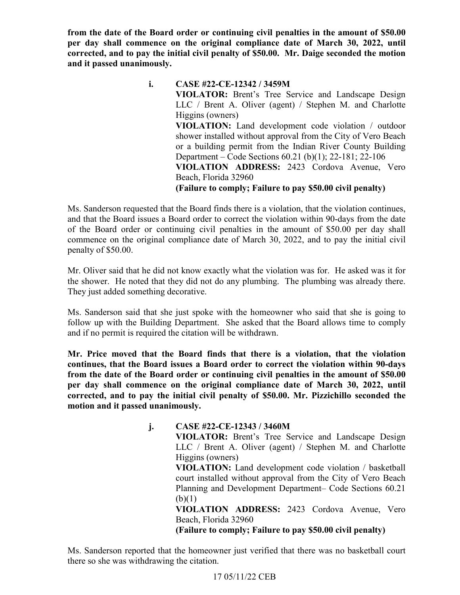**from the date of the Board order or continuing civil penalties in the amount of \$50.00 per day shall commence on the original compliance date of March 30, 2022, until corrected, and to pay the initial civil penalty of \$50.00. Mr. Daige seconded the motion and it passed unanimously.** 

> shower installed without approval from the City of Vero Beach  **(Failure to comply; Failure to pay \$50.00 civil penalty) i. CASE #22-CE-12342 / 3459M VIOLATOR:** Brent's Tree Service and Landscape Design LLC / Brent A. Oliver (agent) / Stephen M. and Charlotte Higgins (owners) **VIOLATION:** Land development code violation / outdoor or a building permit from the Indian River County Building Department – Code Sections 60.21 (b)(1); 22-181; 22-106 **VIOLATION ADDRESS:** 2423 Cordova Avenue, Vero Beach, Florida 32960

 of the Board order or continuing civil penalties in the amount of \$50.00 per day shall Ms. Sanderson requested that the Board finds there is a violation, that the violation continues, and that the Board issues a Board order to correct the violation within 90-days from the date commence on the original compliance date of March 30, 2022, and to pay the initial civil penalty of \$50.00.

 Mr. Oliver said that he did not know exactly what the violation was for. He asked was it for the shower. He noted that they did not do any plumbing. The plumbing was already there. They just added something decorative.

Ms. Sanderson said that she just spoke with the homeowner who said that she is going to follow up with the Building Department. She asked that the Board allows time to comply and if no permit is required the citation will be withdrawn.

**Mr. Price moved that the Board finds that there is a violation, that the violation continues, that the Board issues a Board order to correct the violation within 90-days from the date of the Board order or continuing civil penalties in the amount of \$50.00 per day shall commence on the original compliance date of March 30, 2022, until corrected, and to pay the initial civil penalty of \$50.00. Mr. Pizzichillo seconded the motion and it passed unanimously.** 

**j. CASE #22-CE-12343 / 3460M** 

**VIOLATOR:** Brent's Tree Service and Landscape Design LLC / Brent A. Oliver (agent) / Stephen M. and Charlotte Higgins (owners)

**VIOLATION:** Land development code violation / basketball court installed without approval from the City of Vero Beach Planning and Development Department– Code Sections 60.21  $(b)(1)$ 

**VIOLATION ADDRESS:** 2423 Cordova Avenue, Vero Beach, Florida 32960

 **(Failure to comply; Failure to pay \$50.00 civil penalty)** 

 there so she was withdrawing the citation. Ms. Sanderson reported that the homeowner just verified that there was no basketball court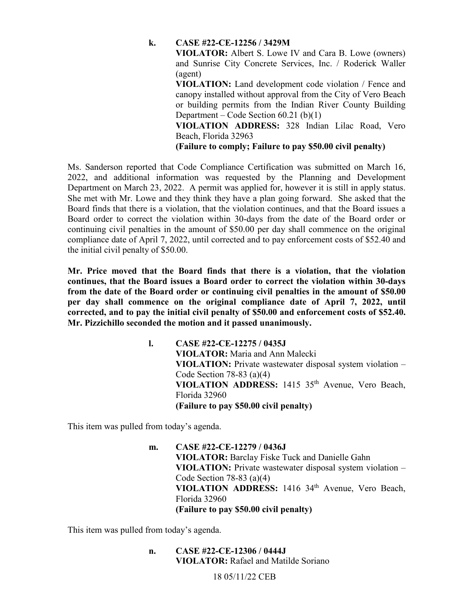#### **k. CASE #22-CE-12256 / 3429M**

**VIOLATOR:** Albert S. Lowe IV and Cara B. Lowe (owners) and Sunrise City Concrete Services, Inc. / Roderick Waller (agent)

**VIOLATION:** Land development code violation / Fence and canopy installed without approval from the City of Vero Beach or building permits from the Indian River County Building Department – Code Section 60.21 (b)(1)

**VIOLATION ADDRESS:** 328 Indian Lilac Road, Vero Beach, Florida 32963

 **(Failure to comply; Failure to pay \$50.00 civil penalty)** 

Department on March 23, 2022. A permit was applied for, however it is still in apply status. Ms. Sanderson reported that Code Compliance Certification was submitted on March 16, 2022, and additional information was requested by the Planning and Development She met with Mr. Lowe and they think they have a plan going forward. She asked that the Board finds that there is a violation, that the violation continues, and that the Board issues a Board order to correct the violation within 30-days from the date of the Board order or continuing civil penalties in the amount of \$50.00 per day shall commence on the original compliance date of April 7, 2022, until corrected and to pay enforcement costs of \$52.40 and the initial civil penalty of \$50.00.

 **corrected, and to pay the initial civil penalty of \$50.00 and enforcement costs of \$52.40. Mr. Pizzichillo seconded the motion and it passed unanimously. Mr. Price moved that the Board finds that there is a violation, that the violation continues, that the Board issues a Board order to correct the violation within 30-days from the date of the Board order or continuing civil penalties in the amount of \$50.00 per day shall commence on the original compliance date of April 7, 2022, until** 

> **VIOLATION ADDRESS:** 1415 35th Avenue, Vero Beach, **l. CASE #22-CE-12275 / 0435J VIOLATOR:** Maria and Ann Malecki **VIOLATION:** Private wastewater disposal system violation – Code Section 78-83 (a)(4) Florida 32960 **(Failure to pay \$50.00 civil penalty)**

This item was pulled from today's agenda.

 **VIOLATION ADDRESS:** 1416 34th Avenue, Vero Beach, **m. CASE #22-CE-12279 / 0436J VIOLATOR:** Barclay Fiske Tuck and Danielle Gahn **VIOLATION:** Private wastewater disposal system violation – Code Section  $78-83$  (a)(4) Florida 32960 **(Failure to pay \$50.00 civil penalty)** 

This item was pulled from today's agenda.

**n. CASE #22-CE-12306 / 0444J VIOLATOR:** Rafael and Matilde Soriano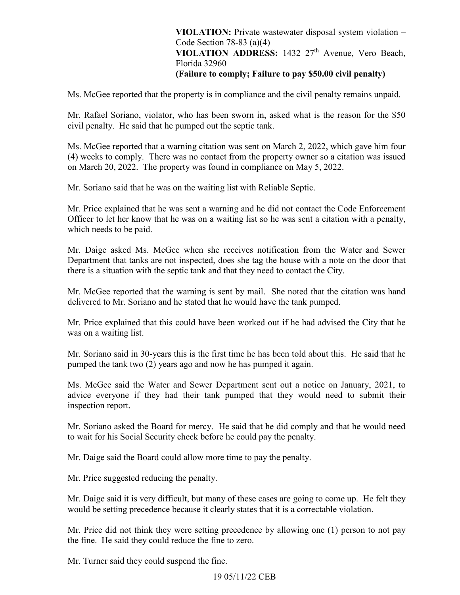# **VIOLATION ADDRESS:** 1432 27th Avenue, Vero Beach,  **(Failure to comply; Failure to pay \$50.00 civil penalty) VIOLATION:** Private wastewater disposal system violation – Code Section 78-83 (a)(4) Florida 32960

Ms. McGee reported that the property is in compliance and the civil penalty remains unpaid.

Mr. Rafael Soriano, violator, who has been sworn in, asked what is the reason for the \$50 civil penalty. He said that he pumped out the septic tank.

Ms. McGee reported that a warning citation was sent on March 2, 2022, which gave him four (4) weeks to comply. There was no contact from the property owner so a citation was issued on March 20, 2022. The property was found in compliance on May 5, 2022.

Mr. Soriano said that he was on the waiting list with Reliable Septic.

Mr. Price explained that he was sent a warning and he did not contact the Code Enforcement Officer to let her know that he was on a waiting list so he was sent a citation with a penalty, which needs to be paid.

 Mr. Daige asked Ms. McGee when she receives notification from the Water and Sewer Department that tanks are not inspected, does she tag the house with a note on the door that there is a situation with the septic tank and that they need to contact the City.

Mr. McGee reported that the warning is sent by mail. She noted that the citation was hand delivered to Mr. Soriano and he stated that he would have the tank pumped.

Mr. Price explained that this could have been worked out if he had advised the City that he was on a waiting list.

Mr. Soriano said in 30-years this is the first time he has been told about this. He said that he pumped the tank two (2) years ago and now he has pumped it again.

Ms. McGee said the Water and Sewer Department sent out a notice on January, 2021, to advice everyone if they had their tank pumped that they would need to submit their inspection report.

 Mr. Soriano asked the Board for mercy. He said that he did comply and that he would need to wait for his Social Security check before he could pay the penalty.

Mr. Daige said the Board could allow more time to pay the penalty.

Mr. Price suggested reducing the penalty.

 would be setting precedence because it clearly states that it is a correctable violation. Mr. Daige said it is very difficult, but many of these cases are going to come up. He felt they

 the fine. He said they could reduce the fine to zero. Mr. Price did not think they were setting precedence by allowing one (1) person to not pay

Mr. Turner said they could suspend the fine.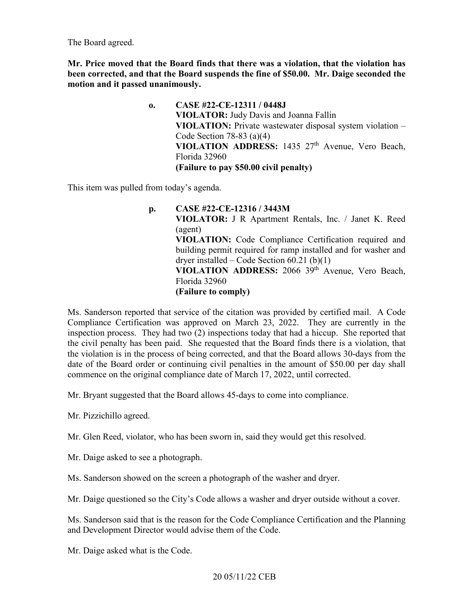The Board agreed.

 **Mr. Price moved that the Board finds that there was a violation, that the violation has been corrected, and that the Board suspends the fine of \$50.00. Mr. Daige seconded the motion and it passed unanimously.** 

> **VIOLATION ADDRESS:** 1435 27th Avenue, Vero Beach, **o. CASE #22-CE-12311 / 0448J VIOLATOR:** Judy Davis and Joanna Fallin **VIOLATION:** Private wastewater disposal system violation – Code Section 78-83 (a)(4) Florida 32960 **(Failure to pay \$50.00 civil penalty)**

This item was pulled from today's agenda.

 **VIOLATION ADDRESS:** 2066 39th Avenue, Vero Beach, **p. CASE #22-CE-12316 / 3443M VIOLATOR:** J R Apartment Rentals, Inc. / Janet K. Reed (agent) **VIOLATION:** Code Compliance Certification required and building permit required for ramp installed and for washer and dryer installed – Code Section  $60.21$  (b) $(1)$ Florida 32960 **(Failure to comply)** 

 date of the Board order or continuing civil penalties in the amount of \$50.00 per day shall Ms. Sanderson reported that service of the citation was provided by certified mail. A Code Compliance Certification was approved on March 23, 2022. They are currently in the inspection process. They had two (2) inspections today that had a hiccup. She reported that the civil penalty has been paid. She requested that the Board finds there is a violation, that the violation is in the process of being corrected, and that the Board allows 30-days from the commence on the original compliance date of March 17, 2022, until corrected.

Mr. Bryant suggested that the Board allows 45-days to come into compliance.

Mr. Pizzichillo agreed.

Mr. Glen Reed, violator, who has been sworn in, said they would get this resolved.

Mr. Daige asked to see a photograph.

Ms. Sanderson showed on the screen a photograph of the washer and dryer.

Mr. Daige questioned so the City's Code allows a washer and dryer outside without a cover.

 and Development Director would advise them of the Code. Ms. Sanderson said that is the reason for the Code Compliance Certification and the Planning

Mr. Daige asked what is the Code.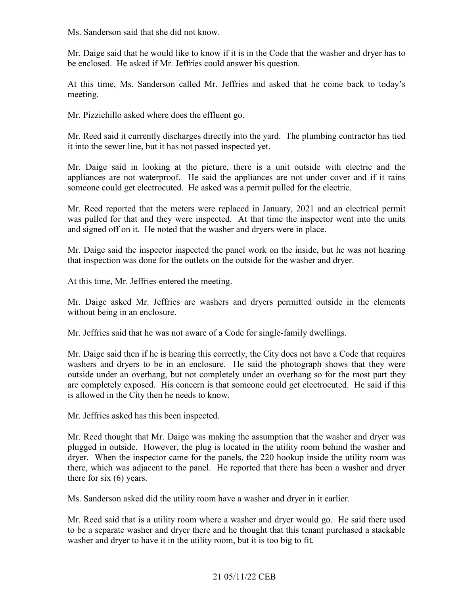Ms. Sanderson said that she did not know.

Mr. Daige said that he would like to know if it is in the Code that the washer and dryer has to be enclosed. He asked if Mr. Jeffries could answer his question.

At this time, Ms. Sanderson called Mr. Jeffries and asked that he come back to today's meeting.

Mr. Pizzichillo asked where does the effluent go.

Mr. Reed said it currently discharges directly into the yard. The plumbing contractor has tied it into the sewer line, but it has not passed inspected yet.

Mr. Daige said in looking at the picture, there is a unit outside with electric and the appliances are not waterproof. He said the appliances are not under cover and if it rains someone could get electrocuted. He asked was a permit pulled for the electric.

Mr. Reed reported that the meters were replaced in January, 2021 and an electrical permit was pulled for that and they were inspected. At that time the inspector went into the units and signed off on it. He noted that the washer and dryers were in place.

 that inspection was done for the outlets on the outside for the washer and dryer. Mr. Daige said the inspector inspected the panel work on the inside, but he was not hearing

At this time, Mr. Jeffries entered the meeting.

 Mr. Daige asked Mr. Jeffries are washers and dryers permitted outside in the elements without being in an enclosure.

Mr. Jeffries said that he was not aware of a Code for single-family dwellings.

Mr. Daige said then if he is hearing this correctly, the City does not have a Code that requires washers and dryers to be in an enclosure. He said the photograph shows that they were outside under an overhang, but not completely under an overhang so for the most part they are completely exposed. His concern is that someone could get electrocuted. He said if this is allowed in the City then he needs to know.

Mr. Jeffries asked has this been inspected.

 Mr. Reed thought that Mr. Daige was making the assumption that the washer and dryer was plugged in outside. However, the plug is located in the utility room behind the washer and dryer. When the inspector came for the panels, the 220 hookup inside the utility room was there, which was adjacent to the panel. He reported that there has been a washer and dryer there for six (6) years.

Ms. Sanderson asked did the utility room have a washer and dryer in it earlier.

 Mr. Reed said that is a utility room where a washer and dryer would go. He said there used to be a separate washer and dryer there and he thought that this tenant purchased a stackable washer and dryer to have it in the utility room, but it is too big to fit.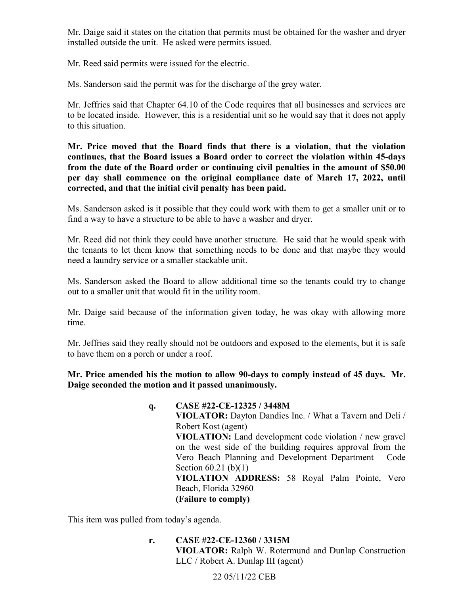Mr. Daige said it states on the citation that permits must be obtained for the washer and dryer installed outside the unit. He asked were permits issued.

Mr. Reed said permits were issued for the electric.

Ms. Sanderson said the permit was for the discharge of the grey water.

 Ms. Sanderson said the permit was for the discharge of the grey water. Mr. Jeffries said that Chapter 64.10 of the Code requires that all businesses and services are to be located inside. However, this is a residential unit so he would say that it does not apply to this situation.

 **corrected, and that the initial civil penalty has been paid. Mr. Price moved that the Board finds that there is a violation, that the violation continues, that the Board issues a Board order to correct the violation within 45-days from the date of the Board order or continuing civil penalties in the amount of \$50.00 per day shall commence on the original compliance date of March 17, 2022, until** 

 find a way to have a structure to be able to have a washer and dryer. Ms. Sanderson asked is it possible that they could work with them to get a smaller unit or to

Mr. Reed did not think they could have another structure. He said that he would speak with the tenants to let them know that something needs to be done and that maybe they would need a laundry service or a smaller stackable unit.

Ms. Sanderson asked the Board to allow additional time so the tenants could try to change out to a smaller unit that would fit in the utility room.

Mr. Daige said because of the information given today, he was okay with allowing more time.

 to have them on a porch or under a roof. Mr. Jeffries said they really should not be outdoors and exposed to the elements, but it is safe

 **Daige seconded the motion and it passed unanimously. q. CASE #22-CE-12325 / 3448M Mr. Price amended his the motion to allow 90-days to comply instead of 45 days. Mr.** 

 Vero Beach Planning and Development Department – Code **VIOLATOR:** Dayton Dandies Inc. / What a Tavern and Deli / Robert Kost (agent) **VIOLATION:** Land development code violation / new gravel on the west side of the building requires approval from the Section 60.21 (b)(1) **VIOLATION ADDRESS:** 58 Royal Palm Pointe, Vero Beach, Florida 32960 **(Failure to comply)** 

This item was pulled from today's agenda.

 LLC / Robert A. Dunlap III (agent) **r. CASE #22-CE-12360 / 3315M VIOLATOR:** Ralph W. Rotermund and Dunlap Construction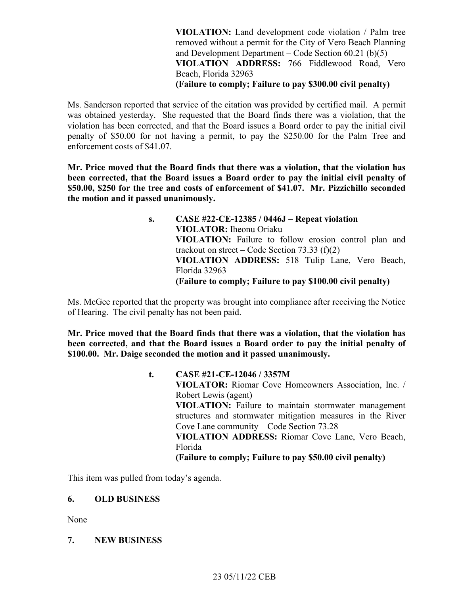**VIOLATION:** Land development code violation / Palm tree and Development Department – Code Section 60.21 (b)(5)  **(Failure to comply; Failure to pay \$300.00 civil penalty)**  removed without a permit for the City of Vero Beach Planning **VIOLATION ADDRESS:** 766 Fiddlewood Road, Vero Beach, Florida 32963

 enforcement costs of \$41.07. Ms. Sanderson reported that service of the citation was provided by certified mail. A permit was obtained yesterday. She requested that the Board finds there was a violation, that the violation has been corrected, and that the Board issues a Board order to pay the initial civil penalty of \$50.00 for not having a permit, to pay the \$250.00 for the Palm Tree and

 **Mr. Price moved that the Board finds that there was a violation, that the violation has been corrected, that the Board issues a Board order to pay the initial civil penalty of \$50.00, \$250 for the tree and costs of enforcement of \$41.07. Mr. Pizzichillo seconded the motion and it passed unanimously.** 

> trackout on street – Code Section 73.33  $(f)(2)$  **(Failure to comply; Failure to pay \$100.00 civil penalty) s. CASE #22-CE-12385 / 0446J – Repeat violation VIOLATOR:** Iheonu Oriaku **VIOLATION:** Failure to follow erosion control plan and **VIOLATION ADDRESS:** 518 Tulip Lane, Vero Beach, Florida 32963

Ms. McGee reported that the property was brought into compliance after receiving the Notice of Hearing. The civil penalty has not been paid.

 **Mr. Price moved that the Board finds that there was a violation, that the violation has been corrected, and that the Board issues a Board order to pay the initial penalty of \$100.00. Mr. Daige seconded the motion and it passed unanimously.** 

> Cove Lane community – Code Section 73.28  **(Failure to comply; Failure to pay \$50.00 civil penalty) t. CASE #21-CE-12046 / 3357M VIOLATOR:** Riomar Cove Homeowners Association, Inc. / Robert Lewis (agent) **VIOLATION:** Failure to maintain stormwater management structures and stormwater mitigation measures in the River **VIOLATION ADDRESS:** Riomar Cove Lane, Vero Beach, Florida

This item was pulled from today's agenda.

#### **6. OLD BUSINESS**

None

# **7. NEW BUSINESS**